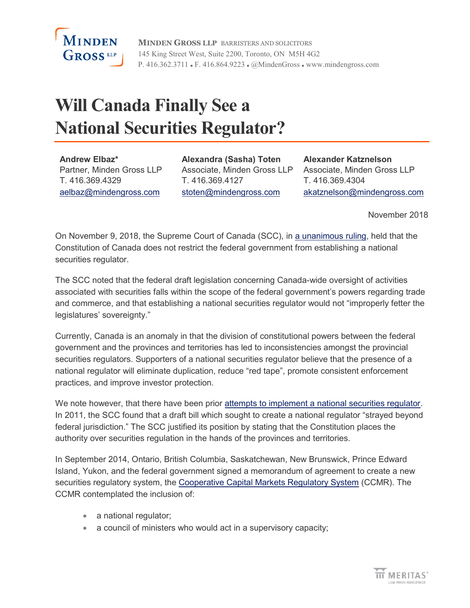

**MINDEN GROSS LLP** BARRISTERS AND SOLICITORS 145 King Street West, Suite 2200, Toronto, ON M5H 4G2 P. 416.362.3711 • F. 416.864.9223 • @MindenGross • www.mindengross.com

## **Will Canada Finally See a National Securities Regulator?**

**Andrew Elbaz\*** Partner, Minden Gross LLP T. 416.369.4329 [aelbaz@mindengross.com](mailto:aelbaz@mindengross.com)

**Alexandra (Sasha) Toten** Associate, Minden Gross LLP T. 416.369.4127 [stoten@mindengross.com](mailto:stoten@mindengross.com)

**Alexander Katznelson** Associate, Minden Gross LLP T. 416.369.4304 [akatznelson@mindengross.com](mailto:akatznelson@mindengross.com)

November 2018

On November 9, 2018, the Supreme Court of Canada (SCC), in [a unanimous ruling,](https://scc-csc.lexum.com/scc-csc/scc-csc/en/item/17355/index.do) held that the Constitution of Canada does not restrict the federal government from establishing a national securities regulator.

The SCC noted that the federal draft legislation concerning Canada-wide oversight of activities associated with securities falls within the scope of the federal government's powers regarding trade and commerce, and that establishing a national securities regulator would not "improperly fetter the legislatures' sovereignty."

Currently, Canada is an anomaly in that the division of constitutional powers between the federal government and the provinces and territories has led to inconsistencies amongst the provincial securities regulators. Supporters of a national securities regulator believe that the presence of a national regulator will eliminate duplication, reduce "red tape", promote consistent enforcement practices, and improve investor protection.

We note however, that there have been prior [attempts to implement a national securities regulator.](https://business.financialpost.com/legal-post/supreme-court-rejects-national-securities-regulator-plan) In 2011, the SCC found that a draft bill which sought to create a national regulator "strayed beyond federal jurisdiction." The SCC justified its position by stating that the Constitution places the authority over securities regulation in the hands of the provinces and territories.

In September 2014, Ontario, British Columbia, Saskatchewan, New Brunswick, Prince Edward Island, Yukon, and the federal government signed a memorandum of agreement to create a new securities regulatory system, the [Cooperative Capital Markets Regulatory System](http://ccmr-ocrmc.ca/) (CCMR). The CCMR contemplated the inclusion of:

- a national regulator;
- a council of ministers who would act in a supervisory capacity;